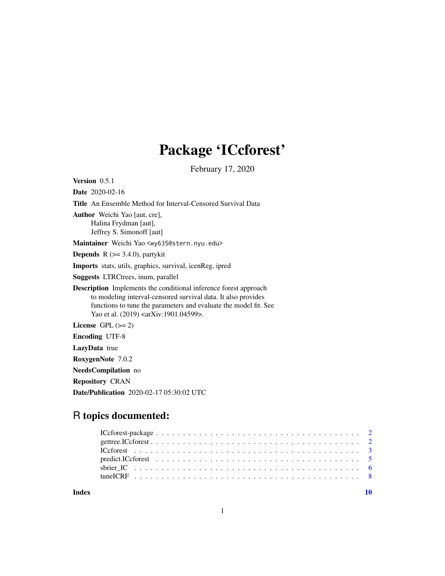## Package 'ICcforest'

February 17, 2020

<span id="page-0-0"></span>Version 0.5.1 Date 2020-02-16 Title An Ensemble Method for Interval-Censored Survival Data Author Weichi Yao [aut, cre], Halina Frydman [aut], Jeffrey S. Simonoff [aut] Maintainer Weichi Yao <wy635@stern.nyu.edu> **Depends** R  $(>= 3.4.0)$ , partykit Imports stats, utils, graphics, survival, icenReg, ipred Suggests LTRCtrees, inum, parallel Description Implements the conditional inference forest approach to modeling interval-censored survival data. It also provides functions to tune the parameters and evaluate the model fit. See Yao et al. (2019) <arXiv:1901.04599>. License GPL  $(>= 2)$ Encoding UTF-8 LazyData true RoxygenNote 7.0.2 NeedsCompilation no Repository CRAN Date/Publication 2020-02-17 05:30:02 UTC

## R topics documented:

| Index |  |
|-------|--|
|       |  |
|       |  |
|       |  |
|       |  |
|       |  |
|       |  |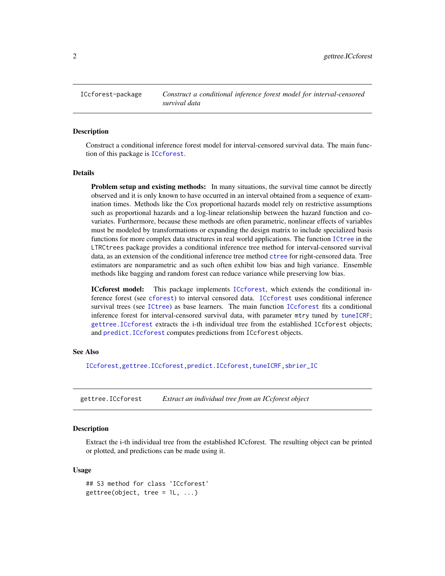<span id="page-1-0"></span>ICcforest-package *Construct a conditional inference forest model for interval-censored survival data*

## Description

Construct a conditional inference forest model for interval-censored survival data. The main function of this package is [ICcforest](#page-2-1).

## Details

Problem setup and existing methods: In many situations, the survival time cannot be directly observed and it is only known to have occurred in an interval obtained from a sequence of examination times. Methods like the Cox proportional hazards model rely on restrictive assumptions such as proportional hazards and a log-linear relationship between the hazard function and covariates. Furthermore, because these methods are often parametric, nonlinear effects of variables must be modeled by transformations or expanding the design matrix to include specialized basis functions for more complex data structures in real world applications. The function [ICtree](#page-0-0) in the LTRCtrees package provides a conditional inference tree method for interval-censored survival data, as an extension of the conditional inference tree method [ctree](#page-0-0) for right-censored data. Tree estimators are nonparametric and as such often exhibit low bias and high variance. Ensemble methods like bagging and random forest can reduce variance while preserving low bias.

ICcforest model: This package implements [ICcforest](#page-2-1), which extends the conditional inference forest (see [cforest](#page-0-0)) to interval censored data. [ICcforest](#page-2-1) uses conditional inference survival trees (see [ICtree](#page-0-0)) as base learners. The main function [ICcforest](#page-2-1) fits a conditional inference forest for interval-censored survival data, with parameter mtry tuned by [tuneICRF](#page-7-1); [gettree.ICcforest](#page-1-1) extracts the i-th individual tree from the established ICcforest objects; and [predict.ICcforest](#page-4-1) computes predictions from ICcforest objects.

## See Also

[ICcforest](#page-2-1)[,gettree.ICcforest,](#page-1-1)[predict.ICcforest,](#page-4-1)[tuneICRF](#page-7-1)[,sbrier\\_IC](#page-5-1)

<span id="page-1-1"></span>gettree.ICcforest *Extract an individual tree from an ICcforest object*

#### Description

Extract the i-th individual tree from the established ICcforest. The resulting object can be printed or plotted, and predictions can be made using it.

#### Usage

## S3 method for class 'ICcforest'  $gettree(object, tree = 1L, ...)$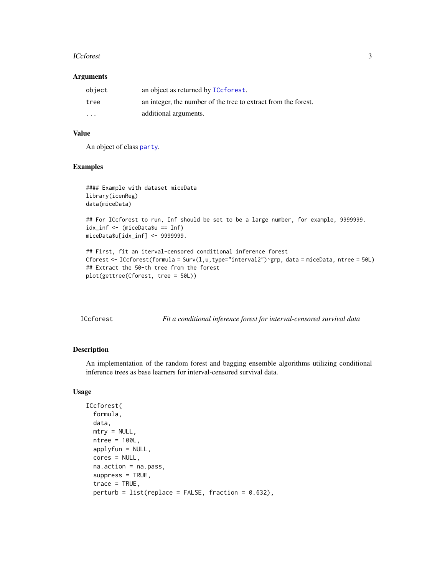#### <span id="page-2-0"></span>**ICcforest** 3

#### Arguments

| object  | an object as returned by ICcforest.                            |
|---------|----------------------------------------------------------------|
| tree    | an integer, the number of the tree to extract from the forest. |
| $\cdot$ | additional arguments.                                          |

## Value

An object of class [party](#page-0-0).

#### Examples

```
#### Example with dataset miceData
library(icenReg)
data(miceData)
## For ICcforest to run, Inf should be set to be a large number, for example, 9999999.
idx_inf <- (miceData$u == Inf)
miceData$u[idx_inf] <- 9999999.
## First, fit an iterval-censored conditional inference forest
Cforest <- ICcforest(formula = Surv(1, u, type="interval2")~grp, data = miceData, ntree = 50L)
## Extract the 50-th tree from the forest
plot(gettree(Cforest, tree = 50L))
```
<span id="page-2-1"></span>

| ICcforest |  | Fit a conditional inference forest for interval-censored survival data |  |
|-----------|--|------------------------------------------------------------------------|--|

#### Description

An implementation of the random forest and bagging ensemble algorithms utilizing conditional inference trees as base learners for interval-censored survival data.

## Usage

```
ICcforest(
  formula,
  data,
 mtry = NULL,
 ntree = 100L,
 applyfun = NULL,cores = NULL,
  na.action = na.pass,
  suppress = TRUE,trace = TRUE,perturb = list(replace = FALSE, fraction = 0.632),
```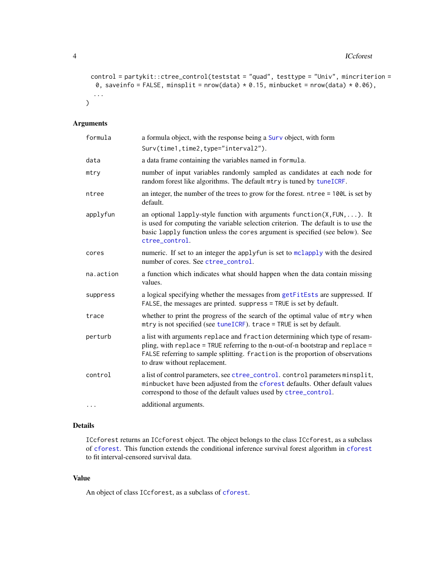```
control = partykit::ctree_control(teststat = "quad", testtype = "Univ", mincriterion =
  0, saveinfo = FALSE, minsplit = nrow(data) * 0.15, minbucket = nrow(data) * 0.06),
  ...
\mathcal{L}
```
## Arguments

| formula   | a formula object, with the response being a Surv object, with form<br>Surv(time1,time2,type="interval2").                                                                                                                                                                        |
|-----------|----------------------------------------------------------------------------------------------------------------------------------------------------------------------------------------------------------------------------------------------------------------------------------|
| data      | a data frame containing the variables named in formula.                                                                                                                                                                                                                          |
| mtry      | number of input variables randomly sampled as candidates at each node for<br>random forest like algorithms. The default mtry is tuned by tuneICRF.                                                                                                                               |
| ntree     | an integer, the number of the trees to grow for the forest. ntree = 100L is set by<br>default.                                                                                                                                                                                   |
| applyfun  | an optional lapply-style function with arguments $function(X, FUN, \ldots)$ . It<br>is used for computing the variable selection criterion. The default is to use the<br>basic lapply function unless the cores argument is specified (see below). See<br>ctree control.         |
| cores     | numeric. If set to an integer the applyfun is set to mclapply with the desired<br>number of cores. See ctree_control.                                                                                                                                                            |
| na.action | a function which indicates what should happen when the data contain missing<br>values.                                                                                                                                                                                           |
| suppress  | a logical specifying whether the messages from getFitEsts are suppressed. If<br>FALSE, the messages are printed. suppress = TRUE is set by default.                                                                                                                              |
| trace     | whether to print the progress of the search of the optimal value of mtry when<br>mtry is not specified (see tuneICRF). trace = TRUE is set by default.                                                                                                                           |
| perturb   | a list with arguments replace and fraction determining which type of resam-<br>pling, with replace = TRUE referring to the n-out-of-n bootstrap and replace =<br>FALSE referring to sample splitting. fraction is the proportion of observations<br>to draw without replacement. |
| control   | a list of control parameters, see ctree_control. control parameters minsplit,<br>minbucket have been adjusted from the cforest defaults. Other default values<br>correspond to those of the default values used by ctree_control.                                                |
| .         | additional arguments.                                                                                                                                                                                                                                                            |

## Details

ICcforest returns an ICcforest object. The object belongs to the class ICcforest, as a subclass of [cforest](#page-0-0). This function extends the conditional inference survival forest algorithm in [cforest](#page-0-0) to fit interval-censored survival data.

## Value

An object of class ICcforest, as a subclass of [cforest](#page-0-0).

<span id="page-3-0"></span>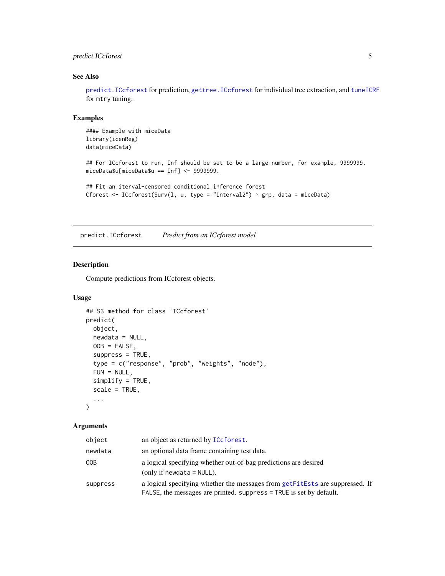## <span id="page-4-0"></span>predict.ICcforest 5

## See Also

[predict.ICcforest](#page-4-1) for prediction, [gettree.ICcforest](#page-1-1) for individual tree extraction, and [tuneICRF](#page-7-1) for mtry tuning.

## Examples

```
#### Example with miceData
library(icenReg)
data(miceData)
## For ICcforest to run, Inf should be set to be a large number, for example, 9999999.
miceData$u[miceData$u == Inf] <- 9999999.
## Fit an iterval-censored conditional inference forest
Cforest <- ICcforest(Surv(1, u, type = "interval2") ~ grp, data = miceData)
```
<span id="page-4-1"></span>predict.ICcforest *Predict from an ICcforest model*

## Description

Compute predictions from ICcforest objects.

#### Usage

```
## S3 method for class 'ICcforest'
predict(
 object,
 newdata = NULL,
 OOB = FALSE,suppress = TRUE,
  type = c("response", "prob", "weights", "node"),
  FUN = NULL,
  simplify = TRUE,
  scale = TRUE,
  ...
\lambda
```
#### Arguments

| object   | an object as returned by ICcforest.                                                                                                                 |
|----------|-----------------------------------------------------------------------------------------------------------------------------------------------------|
| newdata  | an optional data frame containing test data.                                                                                                        |
| 00B      | a logical specifying whether out-of-bag predictions are desired<br>(only if newdata $=$ NULL).                                                      |
| suppress | a logical specifying whether the messages from getFitEsts are suppressed. If<br>FALSE, the messages are printed. suppress = TRUE is set by default. |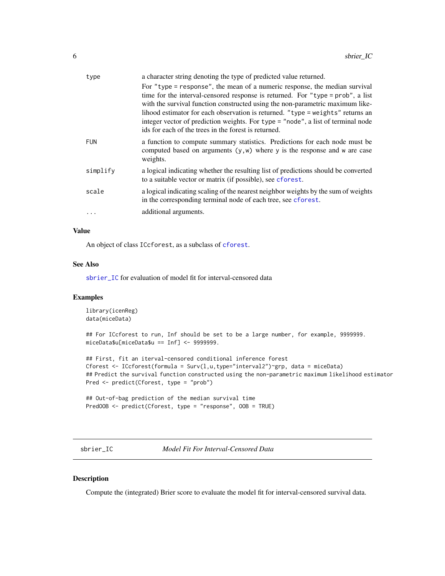<span id="page-5-0"></span>

| type       | a character string denoting the type of predicted value returned.                                                                                                                                                                                                                                                                                                                                                                                                           |
|------------|-----------------------------------------------------------------------------------------------------------------------------------------------------------------------------------------------------------------------------------------------------------------------------------------------------------------------------------------------------------------------------------------------------------------------------------------------------------------------------|
|            | For "type = response", the mean of a numeric response, the median survival<br>time for the interval-censored response is returned. For "type = prob", a list<br>with the survival function constructed using the non-parametric maximum like-<br>lihood estimator for each observation is returned. "type = weights" returns an<br>integer vector of prediction weights. For type = "node", a list of terminal node<br>ids for each of the trees in the forest is returned. |
| <b>FUN</b> | a function to compute summary statistics. Predictions for each node must be<br>computed based on arguments $(y, w)$ where y is the response and w are case<br>weights.                                                                                                                                                                                                                                                                                                      |
| simplify   | a logical indicating whether the resulting list of predictions should be converted<br>to a suitable vector or matrix (if possible), see cforest.                                                                                                                                                                                                                                                                                                                            |
| scale      | a logical indicating scaling of the nearest neighbor weights by the sum of weights<br>in the corresponding terminal node of each tree, see cforest.                                                                                                                                                                                                                                                                                                                         |
| $\cdots$   | additional arguments.                                                                                                                                                                                                                                                                                                                                                                                                                                                       |

## Value

An object of class ICcforest, as a subclass of [cforest](#page-0-0).

## See Also

[sbrier\\_IC](#page-5-1) for evaluation of model fit for interval-censored data

#### Examples

```
library(icenReg)
data(miceData)
## For ICcforest to run, Inf should be set to be a large number, for example, 9999999.
miceData$u[miceData$u == Inf] <- 9999999.
## First, fit an iterval-censored conditional inference forest
Cforest <- ICcforest(formula = Surv(l, u, type="interval2")~grp, data = miceData)
## Predict the survival function constructed using the non-parametric maximum likelihood estimator
Pred <- predict(Cforest, type = "prob")
## Out-of-bag prediction of the median survival time
PredOOB <- predict(Cforest, type = "response", OOB = TRUE)
```
<span id="page-5-1"></span>sbrier\_IC *Model Fit For Interval-Censored Data*

#### Description

Compute the (integrated) Brier score to evaluate the model fit for interval-censored survival data.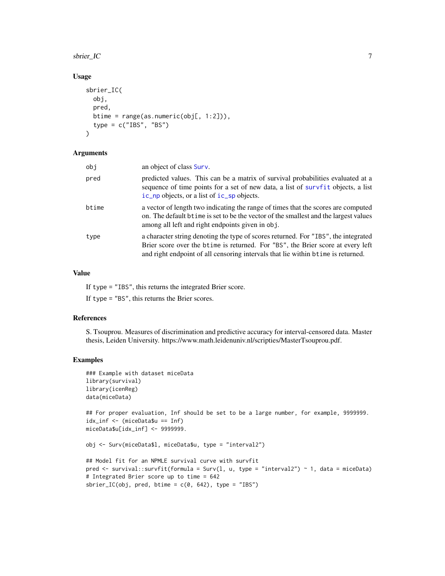#### <span id="page-6-0"></span>sbrier\_IC 7 7 and 7 and 7 and 7 and 7 and 7 and 7 and 7 and 7 and 7 and 7 and 7 and 7 and 7 and 7 and 7 and 7 and 7 and 7 and 7 and 7 and 7 and 7 and 7 and 7 and 7 and 7 and 7 and 7 and 7 and 7 and 7 and 7 and 7 and 7 and

## Usage

```
sbrier_IC(
 obj,
 pred,
 btime = range(as.numeric(obj[, 1:2])),
  type = c("IBS", "BS")\lambda
```
#### Arguments

| obi   | an object of class Surv.                                                                                                                                                                                                                                   |
|-------|------------------------------------------------------------------------------------------------------------------------------------------------------------------------------------------------------------------------------------------------------------|
| pred  | predicted values. This can be a matrix of survival probabilities evaluated at a<br>sequence of time points for a set of new data, a list of survfit objects, a list<br>ic_np objects, or a list of ic_sp objects.                                          |
| btime | a vector of length two indicating the range of times that the scores are computed<br>on. The default b time is set to be the vector of the smallest and the largest values<br>among all left and right endpoints given in obj.                             |
| type  | a character string denoting the type of scores returned. For "IBS", the integrated<br>Brier score over the btime is returned. For "BS", the Brier score at every left<br>and right endpoint of all censoring intervals that lie within b time is returned. |

## Value

If type = "IBS", this returns the integrated Brier score.

If type = "BS", this returns the Brier scores.

#### References

S. Tsouprou. Measures of discrimination and predictive accuracy for interval-censored data. Master thesis, Leiden University. https://www.math.leidenuniv.nl/scripties/MasterTsouprou.pdf.

## Examples

```
### Example with dataset miceData
library(survival)
library(icenReg)
data(miceData)
```
## For proper evaluation, Inf should be set to be a large number, for example, 9999999. idx\_inf <- (miceData\$u == Inf) miceData\$u[idx\_inf] <- 9999999.

obj <- Surv(miceData\$l, miceData\$u, type = "interval2")

```
## Model fit for an NPMLE survival curve with survfit
pred <- survival::survfit(formula = Surv(l, u, type = "interval2") ~ 1, data = miceData)
# Integrated Brier score up to time = 642
sbrier_IC(obj, pred, btime = c(\theta, 642), type = "IBS")
```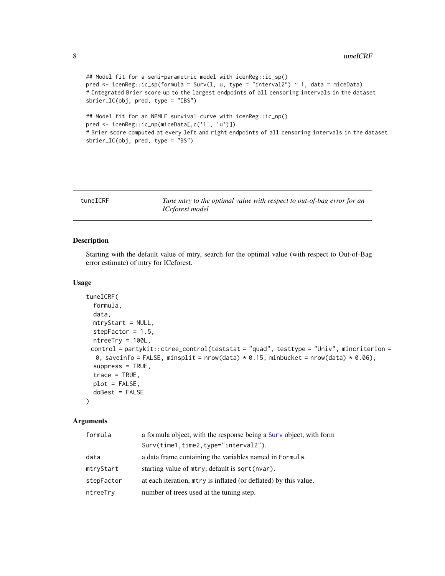```
## Model fit for a semi-parametric model with icenReg::ic_sp()
pred \le icenReg::ic_sp(formula = Surv(l, u, type = "interval2") \sim 1, data = miceData)
# Integrated Brier score up to the largest endpoints of all censoring intervals in the dataset
sbrier_IC(obj, pred, type = "IBS")
## Model fit for an NPMLE survival curve with icenReg::ic_np()
pred <- icenReg::ic_np(miceData[,c('l', 'u')])
# Brier score computed at every left and right endpoints of all censoring intervals in the dataset
sbrier_IC(obj, pred, type = "BS")
```
<span id="page-7-1"></span>

|  | tuneICRF |
|--|----------|
|  |          |

Tune mtry to the optimal value with respect to out-of-bag error for an *ICcforest model*

## Description

Starting with the default value of mtry, search for the optimal value (with respect to Out-of-Bag error estimate) of mtry for ICcforest.

#### Usage

```
tuneICRF(
  formula,
  data,
 mtryStart = NULL,
  stepFactor = 1.5,
  ntreeTry = 100L,
 control = partykit::ctree_control(teststat = "quad", testtype = "Univ", mincriterion =
  0, saveinfo = FALSE, minsplit = nrow(data) * 0.15, minbucket = nrow(data) * 0.06),
  suppress = TRUE,trace = TRUE,plot = FALSE,
  doBest = FALSE)
```
## Arguments

| formula    | a formula object, with the response being a Surv object, with form |  |  |
|------------|--------------------------------------------------------------------|--|--|
|            | Surv(time1,time2,type="interval2").                                |  |  |
| data       | a data frame containing the variables named in Formula.            |  |  |
| mtryStart  | starting value of mtry; default is sqrt(nvar).                     |  |  |
| stepFactor | at each iteration, $mtry$ is inflated (or deflated) by this value. |  |  |
| ntreeTry   | number of trees used at the tuning step.                           |  |  |

<span id="page-7-0"></span>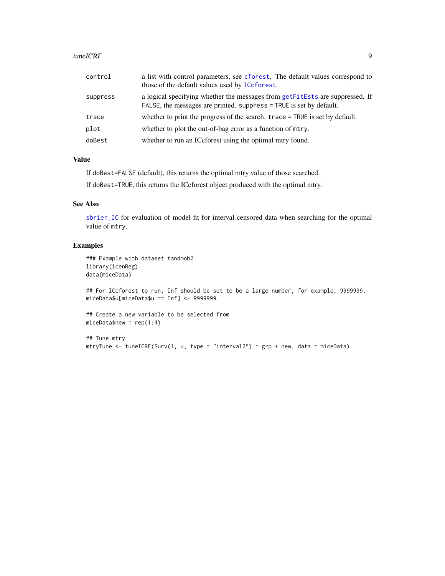#### <span id="page-8-0"></span>tuneICRF 9

| control  | a list with control parameters, see cforest. The default values correspond to<br>those of the default values used by ICcforest.                     |
|----------|-----------------------------------------------------------------------------------------------------------------------------------------------------|
| suppress | a logical specifying whether the messages from getFitEsts are suppressed. If<br>FALSE, the messages are printed. suppress = TRUE is set by default. |
| trace    | whether to print the progress of the search. trace = TRUE is set by default.                                                                        |
| plot     | whether to plot the out-of-bag error as a function of mtry.                                                                                         |
| doBest   | whether to run an ICcforest using the optimal mtry found.                                                                                           |

## Value

If doBest=FALSE (default), this returns the optimal mtry value of those searched.

If doBest=TRUE, this returns the ICcforest object produced with the optimal mtry.

## See Also

[sbrier\\_IC](#page-5-1) for evaluation of model fit for interval-censored data when searching for the optimal value of mtry.

## Examples

```
### Example with dataset tandmob2
library(icenReg)
data(miceData)
```
## For ICcforest to run, Inf should be set to be a large number, for example, 9999999. miceData\$u[miceData\$u == Inf] <- 9999999.

## Create a new variable to be selected from  $miceData$new = rep(1:4)$ 

```
## Tune mtry
mtryTune <- tuneICRF(Surv(1, u, type = "interval2") \sim grp + new, data = miceData)
```